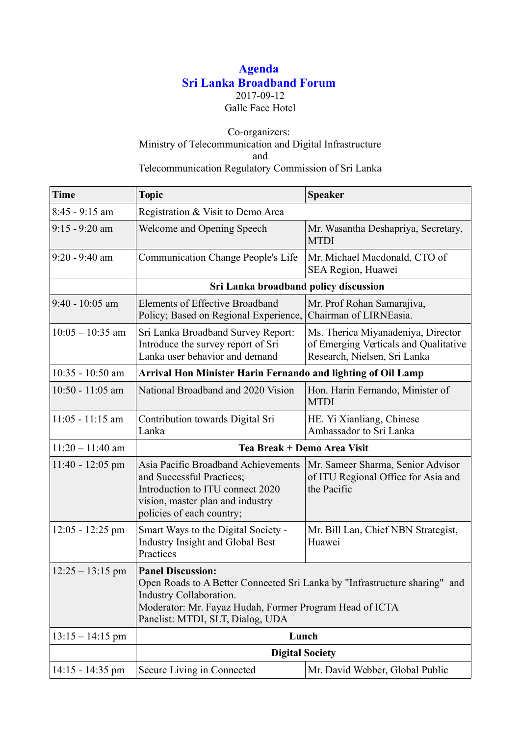## **Agenda Sri Lanka Broadband Forum** 2017-09-12 Galle Face Hotel

## Co-organizers: Ministry of Telecommunication and Digital Infrastructure and Telecommunication Regulatory Commission of Sri Lanka

| <b>Time</b>        | <b>Topic</b>                                                                                                                                                                                                                     | <b>Speaker</b>                                                                                              |  |
|--------------------|----------------------------------------------------------------------------------------------------------------------------------------------------------------------------------------------------------------------------------|-------------------------------------------------------------------------------------------------------------|--|
| $8:45 - 9:15$ am   | Registration & Visit to Demo Area                                                                                                                                                                                                |                                                                                                             |  |
| $9:15 - 9:20$ am   | Welcome and Opening Speech                                                                                                                                                                                                       | Mr. Wasantha Deshapriya, Secretary,<br><b>MTDI</b>                                                          |  |
| $9:20 - 9:40$ am   | Communication Change People's Life                                                                                                                                                                                               | Mr. Michael Macdonald, CTO of<br>SEA Region, Huawei                                                         |  |
|                    | Sri Lanka broadband policy discussion                                                                                                                                                                                            |                                                                                                             |  |
| $9:40 - 10:05$ am  | <b>Elements of Effective Broadband</b><br>Policy; Based on Regional Experience,                                                                                                                                                  | Mr. Prof Rohan Samarajiva,<br>Chairman of LIRNEasia.                                                        |  |
| $10:05 - 10:35$ am | Sri Lanka Broadband Survey Report:<br>Introduce the survey report of Sri<br>Lanka user behavior and demand                                                                                                                       | Ms. Therica Miyanadeniya, Director<br>of Emerging Verticals and Qualitative<br>Research, Nielsen, Sri Lanka |  |
| $10:35 - 10:50$ am | Arrival Hon Minister Harin Fernando and lighting of Oil Lamp                                                                                                                                                                     |                                                                                                             |  |
| $10:50 - 11:05$ am | National Broadband and 2020 Vision                                                                                                                                                                                               | Hon. Harin Fernando, Minister of<br><b>MTDI</b>                                                             |  |
| $11:05 - 11:15$ am | Contribution towards Digital Sri<br>Lanka                                                                                                                                                                                        | HE. Yi Xianliang, Chinese<br>Ambassador to Sri Lanka                                                        |  |
| $11:20 - 11:40$ am | Tea Break + Demo Area Visit                                                                                                                                                                                                      |                                                                                                             |  |
| $11:40 - 12:05$ pm | Asia Pacific Broadband Achievements<br>and Successful Practices;<br>Introduction to ITU connect 2020<br>vision, master plan and industry<br>policies of each country;                                                            | Mr. Sameer Sharma, Senior Advisor<br>of ITU Regional Office for Asia and<br>the Pacific                     |  |
| $12:05 - 12:25$ pm | Smart Ways to the Digital Society -<br>Industry Insight and Global Best<br>Practices                                                                                                                                             | Mr. Bill Lan, Chief NBN Strategist,<br>Huawei                                                               |  |
| $12:25 - 13:15$ pm | <b>Panel Discussion:</b><br>Open Roads to A Better Connected Sri Lanka by "Infrastructure sharing" and<br>Industry Collaboration.<br>Moderator: Mr. Fayaz Hudah, Former Program Head of ICTA<br>Panelist: MTDI, SLT, Dialog, UDA |                                                                                                             |  |
| $13:15 - 14:15$ pm | Lunch                                                                                                                                                                                                                            |                                                                                                             |  |
|                    | <b>Digital Society</b>                                                                                                                                                                                                           |                                                                                                             |  |
| $14:15 - 14:35$ pm | Secure Living in Connected                                                                                                                                                                                                       | Mr. David Webber, Global Public                                                                             |  |